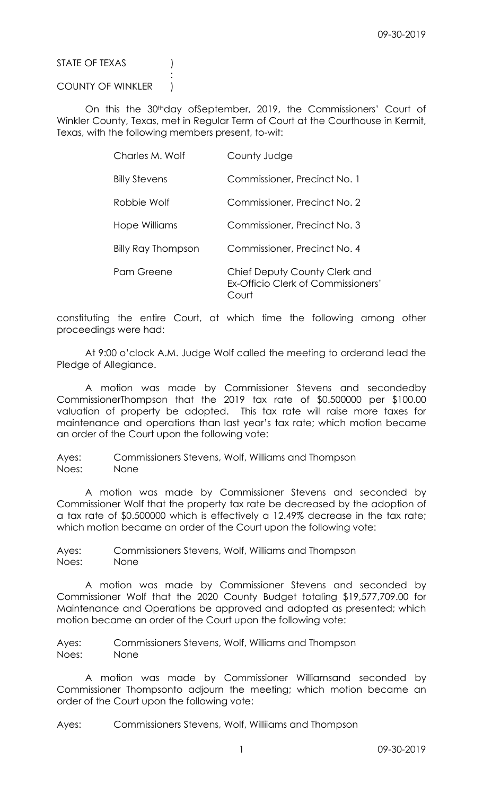STATE OF TEXAS (1)

COUNTY OF WINKLER )

**Service State State State State** 

 On this the 30thday ofSeptember, 2019, the Commissioners' Court of Winkler County, Texas, met in Regular Term of Court at the Courthouse in Kermit, Texas, with the following members present, to-wit:

| Charles M. Wolf      |                           | County Judge                                                                        |
|----------------------|---------------------------|-------------------------------------------------------------------------------------|
| <b>Billy Stevens</b> |                           | Commissioner, Precinct No. 1                                                        |
| Robbie Wolf          |                           | Commissioner, Precinct No. 2                                                        |
| Hope Williams        |                           | Commissioner, Precinct No. 3                                                        |
|                      | <b>Billy Ray Thompson</b> | Commissioner, Precinct No. 4                                                        |
| Pam Greene           |                           | Chief Deputy County Clerk and<br><b>Ex-Officio Clerk of Commissioners'</b><br>Court |

constituting the entire Court, at which time the following among other proceedings were had:

 At 9:00 o'clock A.M. Judge Wolf called the meeting to orderand lead the Pledge of Allegiance.

 A motion was made by Commissioner Stevens and secondedby CommissionerThompson that the 2019 tax rate of \$0.500000 per \$100.00 valuation of property be adopted. This tax rate will raise more taxes for maintenance and operations than last year's tax rate; which motion became an order of the Court upon the following vote:

Ayes: Commissioners Stevens, Wolf, Williams and Thompson Noes: None

 A motion was made by Commissioner Stevens and seconded by Commissioner Wolf that the property tax rate be decreased by the adoption of a tax rate of \$0.500000 which is effectively a 12.49% decrease in the tax rate; which motion became an order of the Court upon the following vote:

Ayes: Commissioners Stevens, Wolf, Williams and Thompson Noes: None

 A motion was made by Commissioner Stevens and seconded by Commissioner Wolf that the 2020 County Budget totaling \$19,577,709.00 for Maintenance and Operations be approved and adopted as presented; which motion became an order of the Court upon the following vote:

Ayes: Commissioners Stevens, Wolf, Williams and Thompson Noes: None

 A motion was made by Commissioner Williamsand seconded by Commissioner Thompsonto adjourn the meeting; which motion became an order of the Court upon the following vote:

Ayes: Commissioners Stevens, Wolf, Williiams and Thompson